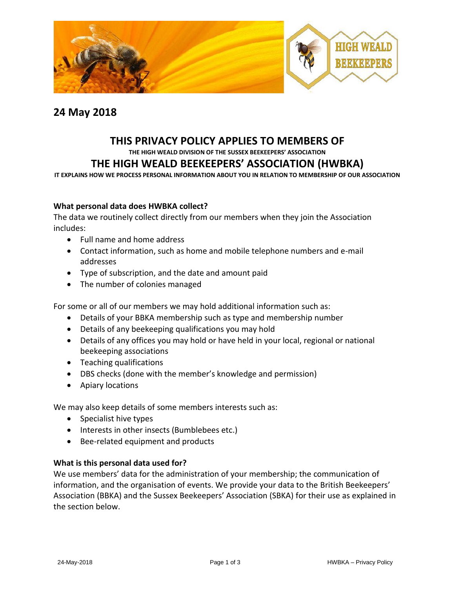

## **24 May 2018**

# **THIS PRIVACY POLICY APPLIES TO MEMBERS OF**

**THE HIGH WEALD DIVISION OF THE SUSSEX BEEKEEPERS' ASSOCIATION**

## **THE HIGH WEALD BEEKEEPERS' ASSOCIATION (HWBKA)**

**IT EXPLAINS HOW WE PROCESS PERSONAL INFORMATION ABOUT YOU IN RELATION TO MEMBERSHIP OF OUR ASSOCIATION**

## **What personal data does HWBKA collect?**

The data we routinely collect directly from our members when they join the Association includes:

- Full name and home address
- Contact information, such as home and mobile telephone numbers and e-mail addresses
- Type of subscription, and the date and amount paid
- The number of colonies managed

For some or all of our members we may hold additional information such as:

- Details of your BBKA membership such as type and membership number
- Details of any beekeeping qualifications you may hold
- Details of any offices you may hold or have held in your local, regional or national beekeeping associations
- Teaching qualifications
- [DBS checks](https://www.gov.uk/dbs-check-applicant-criminal-record) (done with the member's knowledge and permission)
- Apiary locations

We may also keep details of some members interests such as:

- Specialist hive types
- Interests in other insects (Bumblebees etc.)
- Bee-related equipment and products

## **What is this personal data used for?**

We use members' data for the administration of your membership; the communication of information, and the organisation of events. We provide your data to the British Beekeepers' Association (BBKA) and the Sussex Beekeepers' Association (SBKA) for their use as explained in the section below.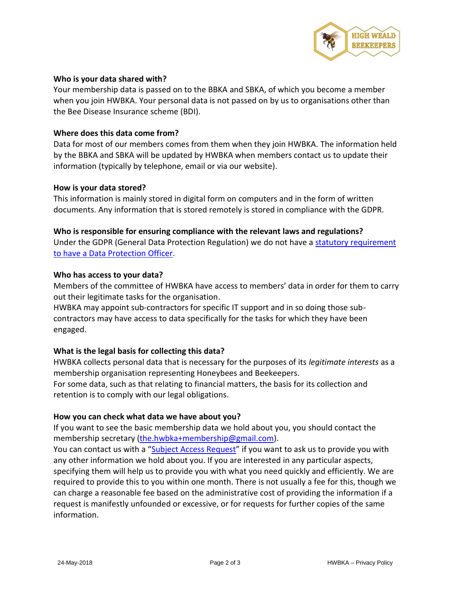

## **Who is your data shared with?**

Your membership data is passed on to the BBKA and SBKA, of which you become a member when you join HWBKA. Your personal data is not passed on by us to organisations other than the Bee Disease Insurance scheme (BDI).

## **Where does this data come from?**

Data for most of our members comes from them when they join HWBKA. The information held by the BBKA and SBKA will be updated by HWBKA when members contact us to update their information (typically by telephone, email or via our website).

## **How is your data stored?**

This information is mainly stored in digital form on computers and in the form of written documents. Any information that is stored remotely is stored in compliance with the GDPR.

## **Who is responsible for ensuring compliance with the relevant laws and regulations?** Under the GDPR (General Data Protection Regulation) we do not have a [statutory requirement](https://ico.org.uk/for-organisations/guide-to-the-general-data-protection-regulation-gdpr/accountability-and-governance/data-protection-officers/)  [to have a Data Protection Officer.](https://ico.org.uk/for-organisations/guide-to-the-general-data-protection-regulation-gdpr/accountability-and-governance/data-protection-officers/)

## **Who has access to your data?**

Members of the committee of HWBKA have access to members' data in order for them to carry out their legitimate tasks for the organisation.

HWBKA may appoint sub-contractors for specific IT support and in so doing those subcontractors may have access to data specifically for the tasks for which they have been engaged.

## **What is the legal basis for collecting this data?**

HWBKA collects personal data that is necessary for the purposes of its *legitimate interests* as a membership organisation representing Honeybees and Beekeepers.

For some data, such as that relating to financial matters, the basis for its collection and retention is to comply with our legal obligations.

## **How you can check what data we have about you?**

If you want to see the basic membership data we hold about you, you should contact the membership secretary [\(the.hwbka+membership@gmail.com\)](mailto:the.hwbka+membership@gmail.com).

You can contact us with a "[Subject Access Request](https://ico.org.uk/for-the-public/personal-information/)" if you want to ask us to provide you with any other information we hold about you. If you are interested in any particular aspects, specifying them will help us to provide you with what you need quickly and efficiently. We are required to provide this to you within one month. There is not usually a fee for this, though we can charge a reasonable fee based on the administrative cost of providing the information if a request is manifestly unfounded or excessive, or for requests for further copies of the same information.